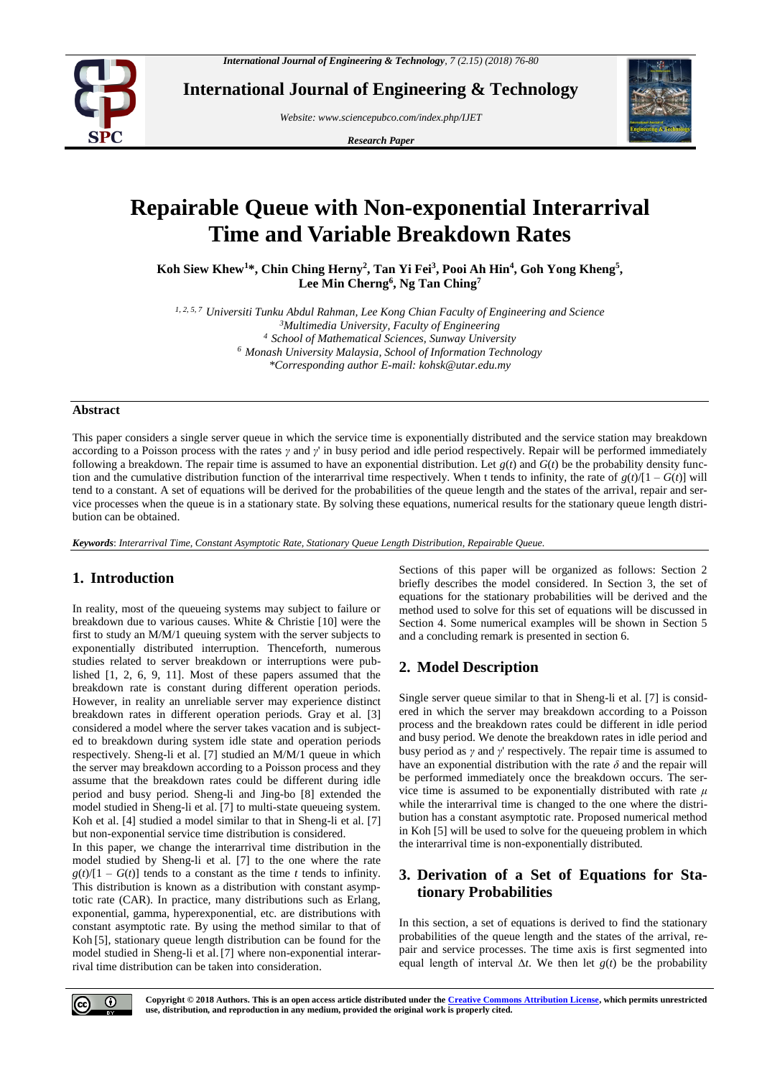

**International Journal of Engineering & Technology**

*Website: www.sciencepubco.com/index.php/IJET*

*Research Paper*



# **Repairable Queue with Non-exponential Interarrival Time and Variable Breakdown Rates**

**Koh Siew Khew<sup>1</sup>\*, Chin Ching Herny<sup>2</sup> , Tan Yi Fei<sup>3</sup> , Pooi Ah Hin<sup>4</sup> , Goh Yong Kheng<sup>5</sup> , Lee Min Cherng<sup>6</sup> , Ng Tan Ching<sup>7</sup>**

*1, 2, 5, 7 Universiti Tunku Abdul Rahman, Lee Kong Chian Faculty of Engineering and Science <sup>3</sup>Multimedia University, Faculty of Engineering <sup>4</sup> School of Mathematical Sciences, Sunway University <sup>6</sup> Monash University Malaysia, School of Information Technology \*Corresponding author E-mail: kohsk@utar.edu.my*

#### **Abstract**

This paper considers a single server queue in which the service time is exponentially distributed and the service station may breakdown according to a Poisson process with the rates *γ* and *γ*' in busy period and idle period respectively. Repair will be performed immediately following a breakdown. The repair time is assumed to have an exponential distribution. Let  $g(t)$  and  $G(t)$  be the probability density function and the cumulative distribution function of the interarrival time respectively. When t tends to infinity, the rate of  $g(t)/[1 - G(t)]$  will tend to a constant. A set of equations will be derived for the probabilities of the queue length and the states of the arrival, repair and service processes when the queue is in a stationary state. By solving these equations, numerical results for the stationary queue length distribution can be obtained.

*Keywords*: *Interarrival Time, Constant Asymptotic Rate, Stationary Queue Length Distribution, Repairable Queue.*

## **1. Introduction**

In reality, most of the queueing systems may subject to failure or breakdown due to various causes. White & Christie [10] were the first to study an M/M/1 queuing system with the server subjects to exponentially distributed interruption. Thenceforth, numerous studies related to server breakdown or interruptions were published [1, 2, 6, 9, 11]. Most of these papers assumed that the breakdown rate is constant during different operation periods. However, in reality an unreliable server may experience distinct breakdown rates in different operation periods. Gray et al. [3] considered a model where the server takes vacation and is subjected to breakdown during system idle state and operation periods respectively. Sheng-li et al. [7] studied an M/M/1 queue in which the server may breakdown according to a Poisson process and they assume that the breakdown rates could be different during idle period and busy period. Sheng-li and Jing-bo [8] extended the model studied in Sheng-li et al. [7] to multi-state queueing system. Koh et al. [4] studied a model similar to that in Sheng-li et al. [7] but non-exponential service time distribution is considered.

In this paper, we change the interarrival time distribution in the model studied by Sheng-li et al. [7] to the one where the rate  $g(t)/[1 - G(t)]$  tends to a constant as the time *t* tends to infinity. This distribution is known as a distribution with constant asymptotic rate (CAR). In practice, many distributions such as Erlang, exponential, gamma, hyperexponential, etc. are distributions with constant asymptotic rate. By using the method similar to that of Koh [5], stationary queue length distribution can be found for the model studied in Sheng-li et al. [7] where non-exponential interarrival time distribution can be taken into consideration.

Sections of this paper will be organized as follows: Section 2 briefly describes the model considered. In Section 3, the set of equations for the stationary probabilities will be derived and the method used to solve for this set of equations will be discussed in Section 4. Some numerical examples will be shown in Section 5 and a concluding remark is presented in section 6.

## **2. Model Description**

Single server queue similar to that in Sheng-li et al. [7] is considered in which the server may breakdown according to a Poisson process and the breakdown rates could be different in idle period and busy period. We denote the breakdown rates in idle period and busy period as *γ* and *γ*' respectively. The repair time is assumed to have an exponential distribution with the rate  $\delta$  and the repair will be performed immediately once the breakdown occurs. The service time is assumed to be exponentially distributed with rate *μ* while the interarrival time is changed to the one where the distribution has a constant asymptotic rate. Proposed numerical method in Koh [5] will be used to solve for the queueing problem in which the interarrival time is non-exponentially distributed.

# **3. Derivation of a Set of Equations for Stationary Probabilities**

In this section, a set of equations is derived to find the stationary probabilities of the queue length and the states of the arrival, repair and service processes. The time axis is first segmented into equal length of interval ∆*t*. We then let *g*(*t*) be the probability

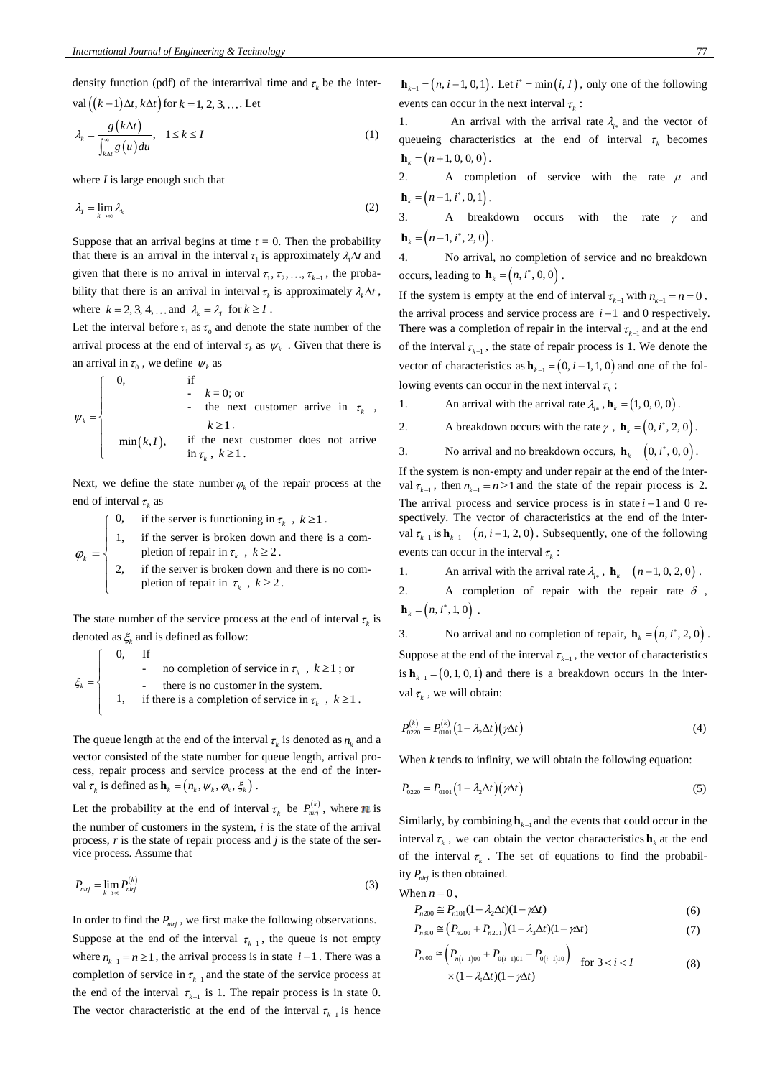density function (pdf) of the interarrival time and  $\tau_k$  be the inter $val((k-1)\Delta t, k\Delta t)$  for  $k = 1, 2, 3, ...$  Let

$$
\lambda_k = \frac{g(k\Delta t)}{\int_{k\Delta t}^{\infty} g(u) du}, \quad 1 \le k \le I
$$
\n(1)

where *I* is large enough such that

$$
\lambda_t = \lim_{k \to \infty} \lambda_k \tag{2}
$$

Suppose that an arrival begins at time  $t = 0$ . Then the probability that there is an arrival in the interval  $\tau_1$  is approximately  $\lambda_1 \Delta t$  and given that there is no arrival in interval  $\tau_1, \tau_2, \ldots, \tau_{k-1}$ , the probability that there is an arrival in interval  $\tau_k$  is approximately  $\lambda_k \Delta t$ , where  $k = 2, 3, 4, \dots$  and  $\lambda_k = \lambda_l$  for  $k \geq I$ .

Let the interval before  $\tau_1$  as  $\tau_0$  and denote the state number of the arrival process at the end of interval  $\tau_k$  as  $\psi_k$ . Given that there is an arrival in  $\tau_0$ , we define  $\psi_k$  as

$$
\psi_k = \begin{cases}\n0, & \text{if } \\
\cdot k = 0; \text{ or } \\
\cdot \text{ the next customer arrive in } \tau_k, \\
k \ge 1. \\
\min(k, I), & \text{if the next customer does not arrive in } \tau_k, k \ge 1.\n\end{cases}
$$

Next, we define the state number  $\varphi_k$  of the repair process at the end of interval  $\tau_k$  as

$$
\int
$$
 0, if the server is functioning in  $\tau_k$ ,  $k \ge 1$ .

 $\varphi_k = \left\{$  $\overline{1}$ 1, if the server is broken down and there is a completion of repair in  $\tau_k$ ,  $k \ge 2$ .

 $\left[\begin{array}{c}k\\k\end{array}\right]$  $\mathbf{I}$  $\mathfrak{r}$ 2, if the server is broken down and there is no completion of repair in  $\tau_k$ ,  $k \ge 2$ .

The state number of the service process at the end of interval  $\tau_k$  is denoted as  $\xi_k$  and is defined as follow:

$$
\xi_k = \begin{cases}\n0, & \text{If} \\
\cdot & \text{no completion of service in } \tau_k, \, k \ge 1 \,;\text{or} \\
\cdot & \text{there is no customer in the system.} \\
1, & \text{if there is a completion of service in } \tau_k, \, k \ge 1 \,.\n\end{cases}
$$

The queue length at the end of the interval  $\tau_k$  is denoted as  $n_k$  and a vector consisted of the state number for queue length, arrival process, repair process and service process at the end of the interval  $\tau_k$  is defined as  $\mathbf{h}_k = (n_k, \psi_k, \varphi_k, \xi_k)$ .

Let the probability at the end of interval  $\tau_k$  be  $P_{\text{nirj}}^{(k)}$ , where **n** is the number of customers in the system, *i* is the state of the arrival process, *r* is the state of repair process and *j* is the state of the service process. Assume that

$$
P_{nij} = \lim_{k \to \infty} P_{nij}^{(k)} \tag{3}
$$

In order to find the  $P_{\text{inif}}$ , we first make the following observations. Suppose at the end of the interval  $\tau_{k-1}$ , the queue is not empty where  $n_{k-1} = n \ge 1$ , the arrival process is in state  $i-1$ . There was a completion of service in  $\tau_{k-1}$  and the state of the service process at the end of the interval  $\tau_{k-1}$  is 1. The repair process is in state 0. The vector characteristic at the end of the interval  $\tau_{k-1}$ is he inter-<br>
inter-<br>
inter-<br>
inter-<br>
inter-<br>
inter-<br>
inter-<br>
inter-<br>
inter-<br>
inter-<br>
inter-<br>
inter-<br>
inter-<br>
inter-<br>
inter-<br>
inter-<br>
inter-<br>
inter-<br>
inter-<br>
inter-<br>
inter-<br>
inter-<br>
inter-<br>
inter-<br>
inter-<br>
inter-<br>
inter-

1. An arrival with the arrival rate  $\lambda_{i*}$  and the vector of queueing characteristics at the end of interval  $\tau_k$  becomes  $h_k = (n+1, 0, 0, 0)$ .

2. A completion of service with the rate  $\mu$  and  $\mathbf{h}_k = (n-1, i^*, 0, 1).$ 

3. A breakdown occurs with the rate  $\gamma$ and  $$ 

4. No arrival, no completion of service and no breakdown occurs, leading to  $\mathbf{h}_k = (n, i^*, 0, 0)$ .

If the system is empty at the end of interval  $\tau_{k-1}$  with  $n_{k-1} = n = 0$ , the arrival process and service process are  $i-1$  and 0 respectively. There was a completion of repair in the interval  $\tau_{k-1}$  and at the end of the interval  $\tau_{k-1}$ , the state of repair process is 1. We denote the vector of characteristics as  $h_{k-1} = (0, i-1, 1, 0)$  and one of the following events can occur in the next interval  $\tau_k$ :

- 1. An arrival with the arrival rate  $\lambda_{i*}$ ,  $\mathbf{h}_k = (1, 0, 0, 0)$ .
- 2. A breakdown occurs with the rate  $\gamma$ ,  $\mathbf{h}_k = (0, i^*, 2, 0)$ .
- 3. No arrival and no breakdown occurs,  $\mathbf{h}_k = (0, i^*, 0, 0)$ .

If the system is non-empty and under repair at the end of the interval  $\tau_{k-1}$ , then  $n_{k-1} = n \ge 1$  and the state of the repair process is 2. The arrival process and service process is in state  $i-1$  and 0 respectively. The vector of characteristics at the end of the interval  $\tau_{k-1}$  is  $\mathbf{h}_{k-1} = (n, i-1, 2, 0)$ . Subsequently, one of the following events can occur in the interval  $\tau_k$ :

- 1. An arrival with the arrival rate  $\lambda_{i*}$ ,  $\mathbf{h}_k = (n+1, 0, 2, 0)$ .
- 2. A completion of repair with the repair rate  $\delta$ , **.**

3. No arrival and no completion of repair,  $\mathbf{h}_k = (n, i^*, 2, 0)$ . Suppose at the end of the interval  $\tau_{k-1}$ , the vector of characteristics is  $\mathbf{h}_{k-1} = (0, 1, 0, 1)$  and there is a breakdown occurs in the interval  $\tau_k$ , we will obtain:

$$
P_{0220}^{(k)} = P_{0101}^{(k)} \left(1 - \lambda_2 \Delta t\right) \left(\gamma \Delta t\right) \tag{4}
$$

When *k* tends to infinity, we will obtain the following equation:

$$
P_{0220} = P_{0101} \left( 1 - \lambda_2 \Delta t \right) \left( \gamma \Delta t \right) \tag{5}
$$

Similarly, by combining  $\mathbf{h}_{k-1}$  and the events that could occur in the interval  $\tau_k$ , we can obtain the vector characteristics  $\mathbf{h}_k$  at the end of the interval  $\tau_k$ . The set of equations to find the probability *Pnirj* is then obtained.

When 
$$
n = 0
$$
,  
\n
$$
P_{n200} \cong P_{n101}(1 - \lambda_2 \Delta t)(1 - \gamma \Delta t)
$$
\n(6)

$$
P_{n300} \cong (P_{n200} + P_{n201})(1 - \lambda_3 \Delta t)(1 - \gamma \Delta t)
$$
 (7)

$$
P_{ni00} \cong \left(P_{n(i-1)00} + P_{0(i-1)01} + P_{0(i-1)10}\right) \quad \text{for } 3 < i < I
$$
\n
$$
\times (1 - \lambda_i \Delta t)(1 - \gamma \Delta t) \tag{8}
$$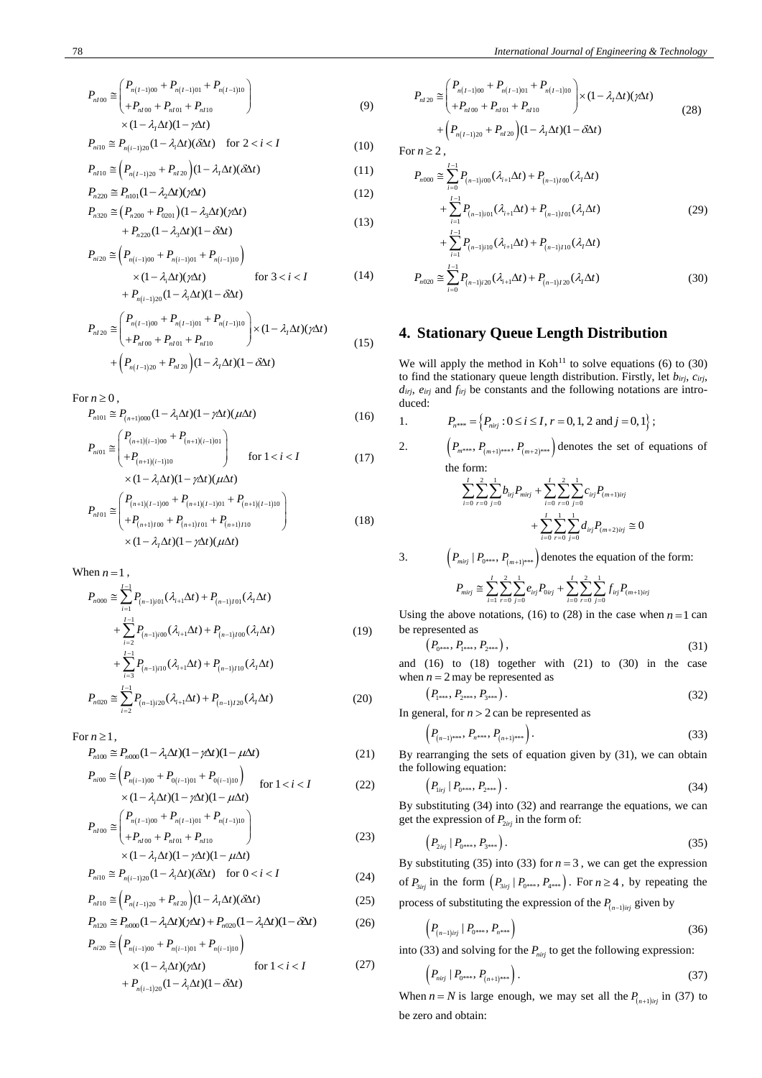$$
P_{nI00} \cong \begin{pmatrix} P_{n(I-1)00} + P_{n(I-1)01} + P_{n(I-1)10} \\ + P_{nI00} + P_{nI01} + P_{nI10} \end{pmatrix}
$$
  
×  $(1 - \lambda_1 \Delta t)(1 - \gamma \Delta t)$  (9)

$$
P_{ni10} \cong P_{n(i-1)20} (1 - \lambda_i \Delta t) (\delta \Delta t) \quad \text{for } 2 < i < I
$$
 (10)

$$
P_{n110} \cong \left(P_{n(I-1)20} + P_{n120}\right)(1 - \lambda_1 \Delta t)(\delta \Delta t) \tag{11}
$$

$$
P_{n220} \cong P_{n101}(1 - \lambda_2 \Delta t)(\gamma \Delta t) \tag{12}
$$

$$
P_{n320} \approx (P_{n200} + P_{0201})(1 - \lambda_3 \Delta t)(\gamma \Delta t) + P_{n220}(1 - \lambda_3 \Delta t)(1 - \delta \Delta t)
$$
\n(13)

$$
P_{ni20} \cong \left( P_{n(i-1)00} + P_{n(i-1)01} + P_{n(i-1)10} \right) \n\times (1 - \lambda_i \Delta t)(\gamma \Delta t) \qquad \text{for } 3 < i < I \n+ P_{n(i-1)20} (1 - \lambda_i \Delta t)(1 - \delta \Delta t)
$$
\n(14)

$$
P_{n120} \approx \begin{pmatrix} P_{n(I-1)00} + P_{n(I-1)01} + P_{n(I-1)10} \\ + P_{nI00} + P_{nI01} + P_{nI10} \end{pmatrix} \times (1 - \lambda_I \Delta t) (\gamma \Delta t)
$$
  
+ 
$$
\begin{pmatrix} P_{n(I-1)20} + P_{nI20} \end{pmatrix} (1 - \lambda_I \Delta t) (1 - \delta \Delta t)
$$
 (15)

For 
$$
n \geq 0
$$

$$
P_{n101} \cong P_{(n+1)000} (1 - \lambda_1 \Delta t)(1 - \gamma \Delta t)(\mu \Delta t)
$$
\n(16)

$$
P_{ni01} \cong \begin{pmatrix} P_{(n+1)(i-1)00} + P_{(n+1)(i-1)01} \\ + P_{(n+1)(i-1)10} \\ \times (1 - \lambda_i \Delta t)(1 - \gamma \Delta t)(\mu \Delta t) \end{pmatrix} \quad \text{for } 1 < i < I \tag{17}
$$

$$
P_{nI01} \cong \begin{pmatrix} P_{(n+1)(I-1)00} + P_{(n+1)(I-1)01} + P_{(n+1)(I-1)10} \\ + P_{(n+1)I00} + P_{(n+1)I01} + P_{(n+1)I10} \end{pmatrix}
$$
\n
$$
\times (1 - \lambda, \Delta t)(1 - \gamma \Delta t) (\mu \Delta t)
$$
\n(18)

When 
$$
n = 1
$$

$$
P_{n000} \approx \sum_{i=1}^{I-1} P_{(n-1)i01}(\lambda_{i+1}\Delta t) + P_{(n-1)i01}(\lambda_1\Delta t)
$$
  
+ 
$$
\sum_{i=2}^{I-1} P_{(n-1)i00}(\lambda_{i+1}\Delta t) + P_{(n-1)i00}(\lambda_1\Delta t)
$$
  
+ 
$$
\sum_{i=1}^{I-1} P_{(n-1)i10}(\lambda_{i+1}\Delta t) + P_{(n-1)i10}(\lambda_1\Delta t)
$$
 (19)

$$
P_{n020} \cong \sum_{i=2}^{l-3} P_{(n-1)i20} (\lambda_{i+1} \Delta t) + P_{(n-1)l20} (\lambda_l \Delta t)
$$
 (20)

For  $n \geq 1$ ,

$$
P_{n100} \cong P_{n000} (1 - \lambda_1 \Delta t)(1 - \gamma \Delta t)(1 - \mu \Delta t)
$$
\n
$$
P_{n100} \approx \left( P_{n1} + P_{n2} + P_{n3} \right)
$$
\n
$$
(21)
$$

$$
P_{ni00} \cong \left\{ P_{n(i-1)00} + P_{0(i-1)01} + P_{0(i-1)10} \right\} \quad \text{for } 1 < i < I
$$
  
 
$$
\times (1 - \lambda_i \Delta t)(1 - \gamma \Delta t)(1 - \mu \Delta t) \tag{22}
$$

$$
P_{nI00} \cong \begin{pmatrix} P_{n(I-1)00} + P_{n(I-1)01} + P_{n(I-1)10} \\ + P_{nI00} + P_{nI01} + P_{nI10} \end{pmatrix}
$$
  
×  $(1 - \lambda_1 \Delta t)(1 - \gamma \Delta t)(1 - \mu \Delta t)$  (23)

$$
P_{ni10} \cong P_{n(i-1)20} (1 - \lambda_i \Delta t) (\delta \Delta t) \quad \text{for } 0 < i < I \tag{24}
$$

$$
P_{nI10} \cong \left(P_{n(I-1)20} + P_{nI20}\right)(1 - \lambda_I \Delta t)(\delta \Delta t) \tag{25}
$$

$$
P_{n120} \cong P_{n000} (1 - \lambda_1 \Delta t) (\gamma \Delta t) + P_{n020} (1 - \lambda_1 \Delta t) (1 - \delta \Delta t) \tag{26}
$$

$$
P_{ni20} \cong \left( P_{n(i-1)00} + P_{n(i-1)01} + P_{n(i-1)10} \right) \times (1 - \lambda_i \Delta t) (\gamma \Delta t) \qquad \text{for } 1 < i < I + P_{n(i-1)20} (1 - \lambda_i \Delta t) (1 - \delta \Delta t)
$$
 (27)

$$
P_{nl20} \cong \begin{pmatrix} P_{n(I-1)00} + P_{n(I-1)01} + P_{n(I-1)10} \\ + P_{nl00} + P_{nl01} + P_{nl10} \end{pmatrix} \times (1 - \lambda_I \Delta t) (\gamma \Delta t)
$$
  
+ 
$$
\left( P_{n(I-1)20} + P_{nl20} \right) (1 - \lambda_I \Delta t) (1 - \delta \Delta t)
$$
 (28)

For  $n \geq 2$ ,

1.

$$
P_{n000} \approx \sum_{i=0}^{I-1} P_{(n-1)i00} (\lambda_{i+1} \Delta t) + P_{(n-1)i00} (\lambda_1 \Delta t)
$$
  
+ 
$$
\sum_{i=1}^{I-1} P_{(n-1)i01} (\lambda_{i+1} \Delta t) + P_{(n-1)i01} (\lambda_1 \Delta t)
$$
  
+ 
$$
\sum_{i=1}^{I-1} P_{(n-1)i10} (\lambda_{i+1} \Delta t) + P_{(n-1)i10} (\lambda_1 \Delta t)
$$
  

$$
P_{n020} \approx \sum_{i=0}^{I-1} P_{(n-1)i20} (\lambda_{i+1} \Delta t) + P_{(n-1)i20} (\lambda_1 \Delta t)
$$
(30)

## 4. Stationary Queue Length Distribution

We will apply the method in  $K\text{oh}^{11}$  to solve equations (6) to (30) to find the stationary queue length distribution. Firstly, let  $b_{irj}$ ,  $c_{irj}$ ,  $d_{irj}$ ,  $e_{irj}$  and  $f_{irj}$  be constants and the following notations are introduced:

$$
P_{n***} = \left\{ P_{nij} : 0 \le i \le I, r = 0, 1, 2 \text{ and } j = 0, 1 \right\};
$$

2. 
$$
\left(P_{m^{***}}, P_{(m+1)^{***}}, P_{(m+2)^{***}}\right)
$$
 denotes the set of equations of the form:

$$
\sum_{i=0}^{I} \sum_{r=0}^{2} \sum_{j=0}^{1} b_{i r j} P_{m i r j} + \sum_{i=0}^{I} \sum_{r=0}^{2} \sum_{j=0}^{1} c_{i r j} P_{(m+1) i r j} + \sum_{i=0}^{I} \sum_{r=0}^{1} \sum_{j=0}^{1} d_{i r j} P_{(m+2) i r j} \cong 0
$$

3. 
$$
\left(P_{\text{mirj}} \mid P_{0^{***}}, P_{(m+1)^{***}}\right) \text{ denotes the equation of the form:}
$$

$$
P_{mij} \cong \sum_{i=1}^{I} \sum_{r=0}^{2} \sum_{j=0}^{1} e_{ij} P_{0ij} + \sum_{i=0}^{I} \sum_{r=0}^{2} \sum_{j=0}^{1} f_{ij} P_{(m+1)ij}
$$

Using the above notations, (16) to (28) in the case when  $n = 1$  can be represented as

$$
(P_{0^{***}}, P_{1^{***}}, P_{2^{***}}), \t\t(31)
$$

and  $(16)$  to  $(18)$  together with  $(21)$  to  $(30)$  in the case when  $n = 2$  may be represented as

$$
(P_{1^{***}}, P_{2^{***}}, P_{3^{***}}). \t(32)
$$

In general, for  $n > 2$  can be represented as

$$
P_{(n-1)^{***}}, P_{n^{***}}, P_{(n+1)^{***}}\bigg). \tag{33}
$$

By rearranging the sets of equation given by  $(31)$ , we can obtain the following equation:  $\sqrt{ }$ 

$$
\left(P_{1ij} \mid P_{0^{***}}, P_{2^{***}}\right). \tag{34}
$$

By substituting  $(34)$  into  $(32)$  and rearrange the equations, we can get the expression of  $P_{2ij}$  in the form of:

$$
\left(P_{2ijj} \mid P_{0^{***}}, P_{3^{***}}\right). \tag{35}
$$

By substituting (35) into (33) for  $n = 3$ , we can get the expression of  $P_{3ij}$  in the form  $(P_{3ij} | P_{0^{***}} , P_{4^{***}})$ . For  $n \geq 4$ , by repeating the process of substituting the expression of the  $P_{(n-1)ij}$  given by

$$
\left(P_{(n-1)ij} \mid P_{0^{***}}, P_{n^{***}}\right) \tag{36}
$$

into (33) and solving for the  $P_{nirj}$  to get the following expression:

$$
\left(P_{nij} \mid P_{0^{***}}, P_{(n+1)^{***}}\right).
$$
\n(37)

When  $n = N$  is large enough, we may set all the  $P_{(n+1)ij}$  in (37) to be zero and obtain: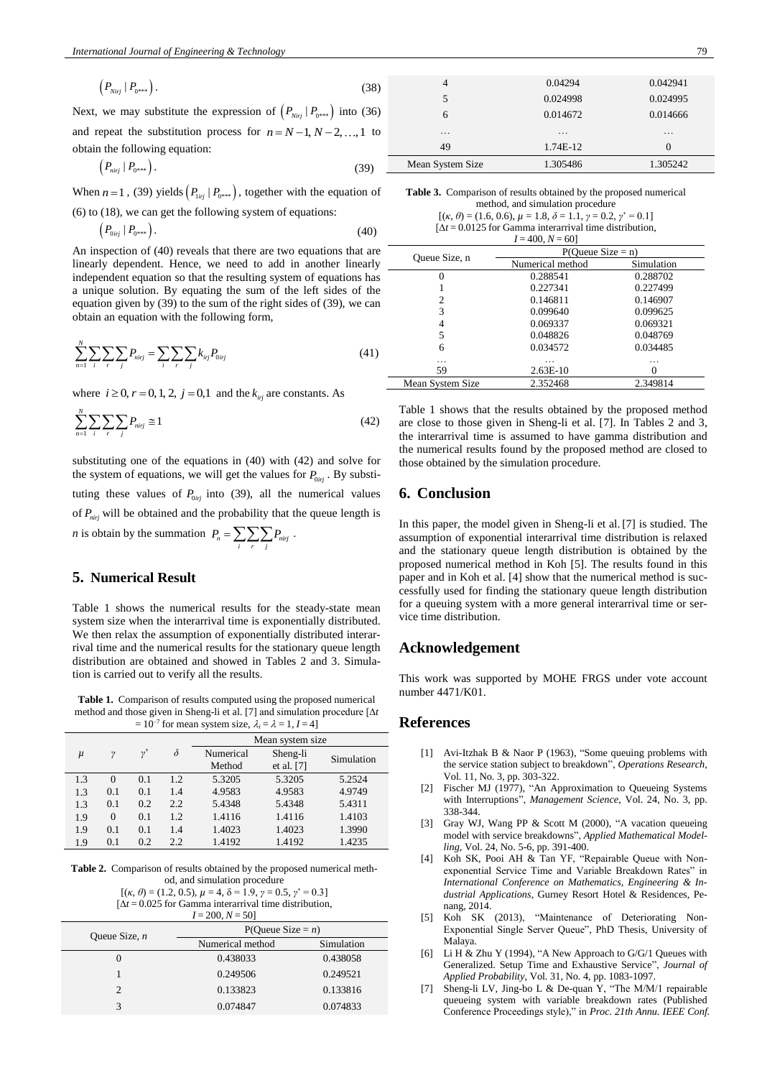$$
\left(P_{Nirj} \mid P_{0^{***}}\right). \tag{38}
$$

Next, we may substitute the expression of  $(P_{Nirj} | P_{0^{***}})$  into (36) and repeat the substitution process for  $n = N-1, N-2, \ldots, 1$  to obtain the following equation:

$$
\left(P_{nirj} \mid P_{0^{***}}\right). \tag{39}
$$

When  $n = 1$ , (39) yields  $(P_{\text{linj}} | P_{0^{***}})$ , together with the equation of (6) to (18), we can get the following system of equations:

$$
\left(P_{0ij} \mid P_{0^{***}}\right). \tag{40}
$$

An inspection of (40) reveals that there are two equations that are linearly dependent. Hence, we need to add in another linearly \_ independent equation so that the resulting system of equations has a unique solution. By equating the sum of the left sides of the equation given by (39) to the sum of the right sides of (39), we can obtain an equation with the following form,

$$
\sum_{n=1}^{N} \sum_{i} \sum_{r} \sum_{j} P_{nij} = \sum_{i} \sum_{r} \sum_{j} k_{ij} P_{0ij}
$$
(41)

where  $i \ge 0$ ,  $r = 0, 1, 2$ ,  $j = 0,1$  and the  $k_{i,j}$  are constants. As

$$
\sum_{n=1}^{N} \sum_{i} \sum_{r} \sum_{j} P_{nirj} \cong 1 \tag{42}
$$

substituting one of the equations in (40) with (42) and solve for the system of equations, we will get the values for  $P_{0irj}$ . By substituting these values of  $P_{0i\tau j}$  into (39), all the numerical values of *Pnirj* will be obtained and the probability that the queue length is *n* is obtain by the summation  $P_n = \sum_i \sum_r \sum_j P_{nirj}$ .

#### **5. Numerical Result**

Table 1 shows the numerical results for the steady-state mean system size when the interarrival time is exponentially distributed. We then relax the assumption of exponentially distributed interarrival time and the numerical results for the stationary queue length distribution are obtained and showed in Tables 2 and 3. Simulation is carried out to verify all the results.

**Table 1.** Comparison of results computed using the proposed numerical method and those given in Sheng-li et al. [7] and simulation procedure [∆*t*  $= 10^{-7}$  for mean system size,  $\lambda_i = \lambda = 1, I = 4$ ]

|       |          |              |          | Mean system size.   |                        |            |
|-------|----------|--------------|----------|---------------------|------------------------|------------|
| $\mu$ | γ        | $v^{\prime}$ | $\delta$ | Numerical<br>Method | Sheng-li<br>et al. [7] | Simulation |
| 1.3   | $\theta$ | 0.1          | 1.2      | 5.3205              | 5.3205                 | 5.2524     |
| 1.3   | 0.1      | 0.1          | 1.4      | 4.9583              | 4.9583                 | 4.9749     |
| 1.3   | 0.1      | 0.2          | 2.2      | 5.4348              | 5.4348                 | 5.4311     |
| 1.9   | $\theta$ | 0.1          | 1.2      | 1.4116              | 1.4116                 | 1.4103     |
| 1.9   | 0.1      | 0.1          | 1.4      | 1.4023              | 1.4023                 | 1.3990     |
| 1.9   | 0.1      | 0.2          | 2.2      | 1.4192              | 1.4192                 | 1.4235     |

**Table 2.** Comparison of results obtained by the proposed numerical method, and simulation procedure

[(*κ*, *θ*) = (1.2, 0.5), *µ* = 4, δ = 1.9, *γ* = 0.5, *γ*' = 0.3] [∆*t* = 0.025 for Gamma interarrival time distribution,  $I = 200, N = 50$ 

| Queue Size, $n$ | P(Oueue Size = $n$ ) |            |  |
|-----------------|----------------------|------------|--|
|                 | Numerical method     | Simulation |  |
|                 | 0.438033             | 0.438058   |  |
|                 | 0.249506             | 0.249521   |  |
| $\mathcal{P}$   | 0.133823             | 0.133816   |  |
|                 | 0.074847             | 0.074833   |  |

| <b>Table 3.</b> Comparison of results obtained by the proposed numerical |
|--------------------------------------------------------------------------|
| method, and simulation procedure                                         |

Mean System Size 1.305486 1.305242

 $[(\kappa, \theta) = (1.6, 0.6), \mu = 1.8, \delta = 1.1, \gamma = 0.2, \gamma' = 0.1]$ [∆*t* = 0.0125 for Gamma interarrival time distribution, *I* = 400, *N* = 60]

|                  | $P(Queue Size = n)$ |            |  |  |
|------------------|---------------------|------------|--|--|
| Queue Size, n    | Numerical method    | Simulation |  |  |
|                  | 0.288541            | 0.288702   |  |  |
|                  | 0.227341            | 0.227499   |  |  |
| 2                | 0.146811            | 0.146907   |  |  |
| 3                | 0.099640            | 0.099625   |  |  |
|                  | 0.069337            | 0.069321   |  |  |
| 5                | 0.048826            | 0.048769   |  |  |
| 6                | 0.034572            | 0.034485   |  |  |
| .                | .                   | .          |  |  |
| 59               | $2.63E-10$          |            |  |  |
| Mean System Size | 2.352468            | 2.349814   |  |  |

Table 1 shows that the results obtained by the proposed method are close to those given in Sheng-li et al. [7]. In Tables 2 and 3, the interarrival time is assumed to have gamma distribution and the numerical results found by the proposed method are closed to those obtained by the simulation procedure.

### **6. Conclusion**

In this paper, the model given in Sheng-li et al. [7] is studied. The assumption of exponential interarrival time distribution is relaxed and the stationary queue length distribution is obtained by the proposed numerical method in Koh [5]. The results found in this paper and in Koh et al. [4] show that the numerical method is successfully used for finding the stationary queue length distribution for a queuing system with a more general interarrival time or service time distribution.

#### **Acknowledgement**

This work was supported by MOHE FRGS under vote account number 4471/K01.

### **References**

- [1] Avi-Itzhak B & Naor P (1963), "Some queuing problems with the service station subject to breakdown", *Operations Research*, Vol. 11, No. 3, pp. 303-322.
- [2] Fischer MJ (1977), "An Approximation to Queueing Systems with Interruptions", *Management Science*, Vol. 24, No. 3, pp. 338-344.
- [3] Gray WJ, Wang PP & Scott M (2000), "A vacation queueing model with service breakdowns", *Applied Mathematical Modelling*, Vol. 24, No. 5-6, pp. 391-400.
- [4] Koh SK, Pooi AH & Tan YF, "Repairable Queue with Nonexponential Service Time and Variable Breakdown Rates" in *International Conference on Mathematics, Engineering & Industrial Applications*, Gurney Resort Hotel & Residences, Penang, 2014.
- [5] Koh SK (2013), "Maintenance of Deteriorating Non-Exponential Single Server Queue", PhD Thesis, University of Malaya.
- [6] Li H & Zhu Y (1994), "A New Approach to G/G/1 Queues with Generalized. Setup Time and Exhaustive Service", *Journal of Applied Probability*, Vol. 31, No. 4, pp. 1083-1097.
- [7] Sheng-li LV, Jing-bo L & De-quan Y, "The M/M/1 repairable queueing system with variable breakdown rates (Published Conference Proceedings style)," in *Proc. 21th Annu. IEEE Conf.*